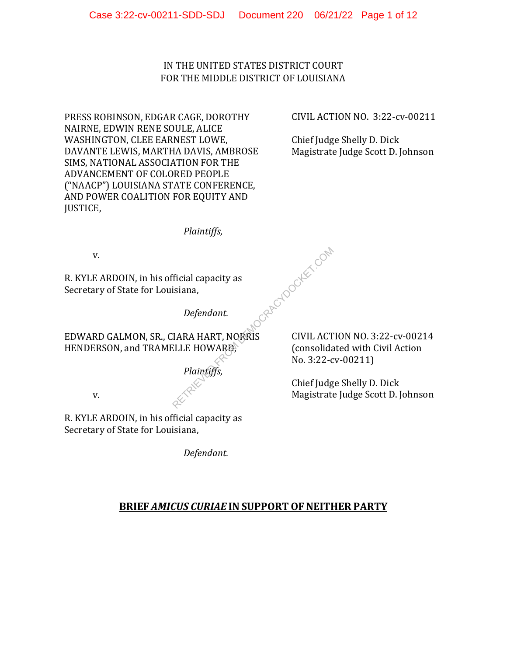IN THE UNITED STATES DISTRICT COURT FOR THE MIDDLE DISTRICT OF LOUISIANA

PRESS ROBINSON, EDGAR CAGE, DOROTHY NAIRNE, EDWIN RENE SOULE, ALICE WASHINGTON, CLEE EARNEST LOWE, DAVANTE LEWIS, MARTHA DAVIS, AMBROSE SIMS, NATIONAL ASSOCIATION FOR THE ADVANCEMENT OF COLORED PEOPLE ("NAACP") LOUISIANA STATE CONFERENCE, AND POWER COALITION FOR EQUITY AND JUSTICE,

CIVIL ACTION NO. 3:22-cv-00211

Chief Judge Shelly D. Dick Magistrate Judge Scott D. Johnson

*Plaintiffs*,

v.

R. KYLE ARDOIN, in his official capacity as Secretary of State for Louisiana,

CRACYDOCKET.COM

*Defendant.* 

EDWARD GALMON, SR., CIARA HART, NORRIS HENDERSON, and TRAMELLE HOWARD,

*Plaintiffs*,

v.

R. KYLE ARDOIN, in his official capacity as Secretary of State for Louisiana,

*Defendant.* 

CIVIL ACTION NO. 3:22-cv-00214 (consolidated with Civil Action No. 3:22-cv-00211)

Chief Judge Shelly D. Dick Magistrate Judge Scott D. Johnson

# **BRIEF** *AMICUS CURIAE* **IN SUPPORT OF NEITHER PARTY**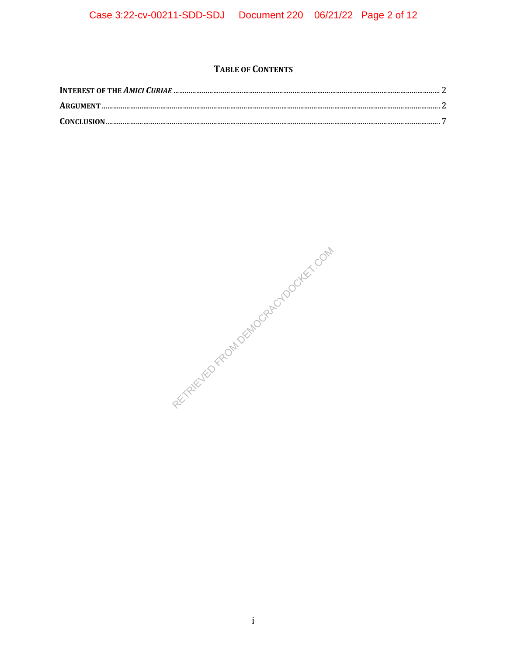# **TABLE OF CONTENTS**

| $\textbf{CONCLUSION} \textcolor{red}{\textbf{.\textbf{CONCLUSION}}}\textcolor{red}{\textbf{.\textbf{1}}}\textcolor{red}{\textbf{.1}}$ |  |
|---------------------------------------------------------------------------------------------------------------------------------------|--|

REVIEWED FROM DEMOCRACY DOCKEY, ON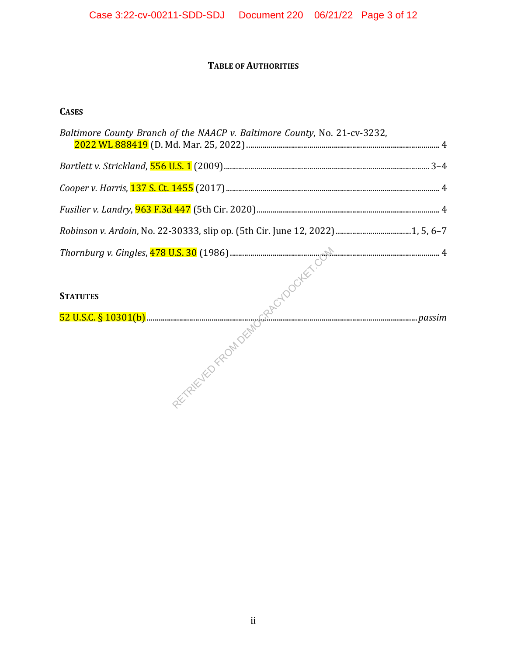# **TABLE OF AUTHORITIES**

# **CASES**

| Baltimore County Branch of the NAACP v. Baltimore County, No. 21-cv-3232, |  |
|---------------------------------------------------------------------------|--|
|                                                                           |  |
|                                                                           |  |
|                                                                           |  |
|                                                                           |  |
|                                                                           |  |
|                                                                           |  |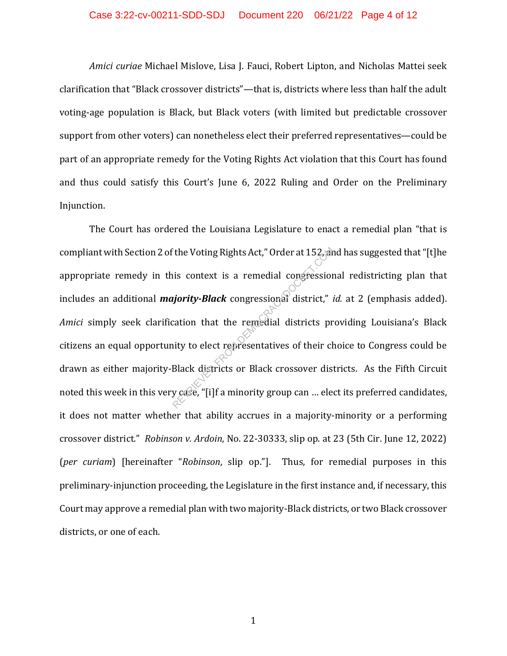*Amici curiae* Michael Mislove, Lisa J. Fauci, Robert Lipton, and Nicholas Mattei seek clarification that "Black crossover districts"—that is, districts where less than half the adult voting-age population is Black, but Black voters (with limited but predictable crossover support from other voters) can nonetheless elect their preferred representatives—could be part of an appropriate remedy for the Voting Rights Act violation that this Court has found and thus could satisfy this Court's June 6, 2022 Ruling and Order on the Preliminary Injunction.

The Court has ordered the Louisiana Legislature to enact a remedial plan "that is compliant with Section 2 of the Voting Rights Act," Order at 152, and has suggested that "[t]he appropriate remedy in this context is a remedial congressional redistricting plan that includes an additional *majority-Black* congressional district," *id.* at 2 (emphasis added). *Amici* simply seek clarification that the remedial districts providing Louisiana's Black citizens an equal opportunity to elect representatives of their choice to Congress could be drawn as either majority-Black districts or Black crossover districts. As the Fifth Circuit noted this week in this very case, "[i]f a minority group can … elect its preferred candidates, it does not matter whether that ability accrues in a majority-minority or a performing crossover district." *Robinson v. Ardoin*, No. 22-30333, slip op. at 23 (5th Cir. June 12, 2022) (*per curiam*) [hereinafter "*Robinson*, slip op."]. Thus, for remedial purposes in this preliminary-injunction proceeding, the Legislature in the first instance and, if necessary, this Court may approve a remedial plan with two majority-Black districts, or two Black crossover districts, or one of each. Fithe Voting Rights Act," Order at 152<sub>0</sub><br>
is context is a remedial congression<br>
is context is a remedial congression<br>
igiority-Black congressional district,"<br>
cation that the remedial districts pr<br>
ity to elect representa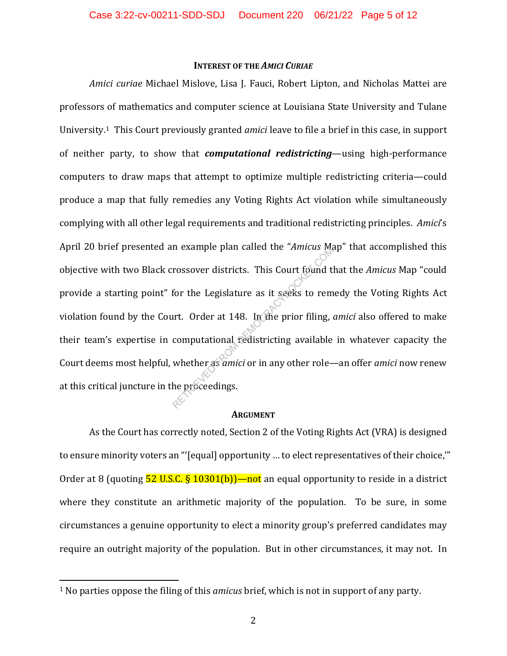#### **INTEREST OF THE** *AMICI CURIAE*

*Amici curiae* Michael Mislove, Lisa J. Fauci, Robert Lipton, and Nicholas Mattei are professors of mathematics and computer science at Louisiana State University and Tulane University.1 This Court previously granted *amici* leave to file a brief in this case, in support of neither party, to show that *computational redistricting*—using high-performance computers to draw maps that attempt to optimize multiple redistricting criteria—could produce a map that fully remedies any Voting Rights Act violation while simultaneously complying with all other legal requirements and traditional redistricting principles. *Amici*'s April 20 brief presented an example plan called the "*Amicus* Map" that accomplished this objective with two Black crossover districts. This Court found that the *Amicus* Map "could provide a starting point" for the Legislature as it seeks to remedy the Voting Rights Act violation found by the Court. Order at 148. In the prior filing, *amici* also offered to make their team's expertise in computational redistricting available in whatever capacity the Court deems most helpful, whether as *amici* or in any other role—an offer *amici* now renew at this critical juncture in the proceedings. rossover districts. This Court found the Amicus Islam rossover districts. This Court found the form the Legislature as it seeks to rem art. Order at 148. In the prior filing, computational redistricting available whether a

#### **ARGUMENT**

As the Court has correctly noted, Section 2 of the Voting Rights Act (VRA) is designed to ensure minority voters an "'[equal] opportunity … to elect representatives of their choice,'" Order at 8 (quoting  $\frac{52 \text{ U.S.C. } }{9.10301(b)}$  - not an equal opportunity to reside in a district where they constitute an arithmetic majority of the population. To be sure, in some circumstances a genuine opportunity to elect a minority group's preferred candidates may require an outright majority of the population. But in other circumstances, it may not. In

<sup>1</sup> No parties oppose the filing of this *amicus* brief, which is not in support of any party.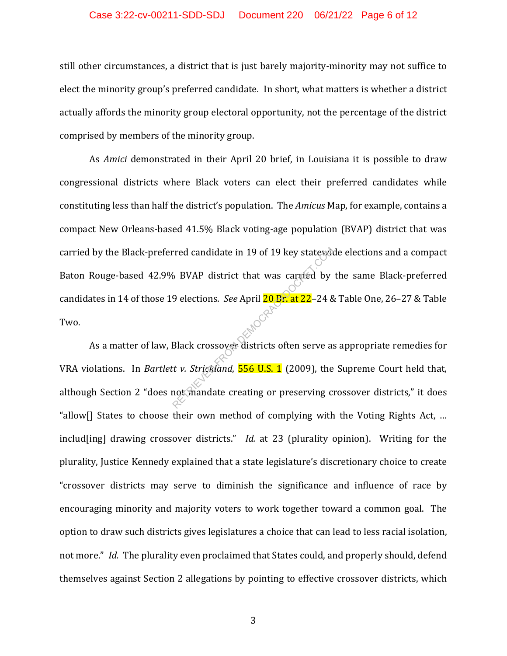#### Case 3:22-cv-00211-SDD-SDJ Document 220 06/21/22 Page 6 of 12

still other circumstances, a district that is just barely majority-minority may not suffice to elect the minority group's preferred candidate. In short, what matters is whether a district actually affords the minority group electoral opportunity, not the percentage of the district comprised by members of the minority group.

As *Amici* demonstrated in their April 20 brief, in Louisiana it is possible to draw congressional districts where Black voters can elect their preferred candidates while constituting less than half the district's population. The *Amicus* Map, for example, contains a compact New Orleans-based 41.5% Black voting-age population (BVAP) district that was carried by the Black-preferred candidate in 19 of 19 key statewide elections and a compact Baton Rouge-based 42.9% BVAP district that was carried by the same Black-preferred candidates in 14 of those 19 elections. *See* April 20 Br. at 22–24 & Table One, 26–27 & Table Two. rred candidate in 19 of 19 key stateward<br>6 BVAP district that was carried by<br>9 elections. *See* April 20 Br. at 22–24 8<br>Black crossover districts often serve as<br>tt v. *Strickland*, **556 U.S. 1** (2009), the<br>not mandate crea

As a matter of law, Black crossover districts often serve as appropriate remedies for VRA violations. In *Bartlett v. Strickland*, 556 U.S. 1 (2009), the Supreme Court held that, although Section 2 "does not mandate creating or preserving crossover districts," it does "allow[] States to choose their own method of complying with the Voting Rights Act, … includ[ing] drawing crossover districts." *Id.* at 23 (plurality opinion). Writing for the plurality, Justice Kennedy explained that a state legislature's discretionary choice to create "crossover districts may serve to diminish the significance and influence of race by encouraging minority and majority voters to work together toward a common goal. The option to draw such districts gives legislatures a choice that can lead to less racial isolation, not more." *Id.* The plurality even proclaimed that States could, and properly should, defend themselves against Section 2 allegations by pointing to effective crossover districts, which

3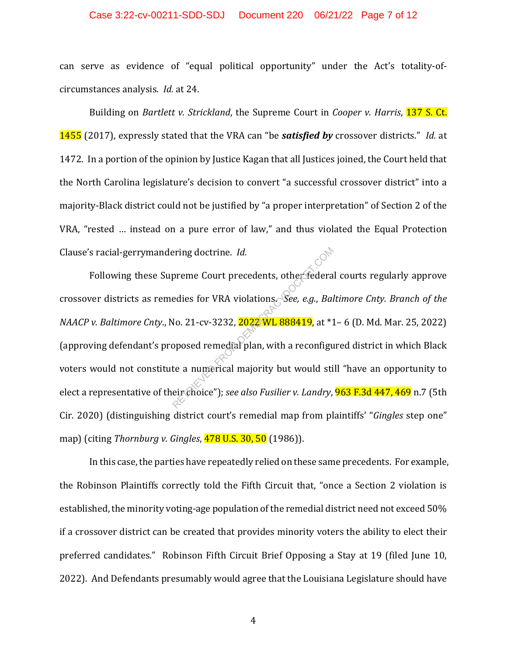### Case 3:22-cv-00211-SDD-SDJ Document 220 06/21/22 Page 7 of 12

can serve as evidence of "equal political opportunity" under the Act's totality-ofcircumstances analysis. *Id.* at 24.

Building on *Bartlett v. Strickland*, the Supreme Court in *Cooper v. Harris*, 137 S. Ct. 1455 (2017), expressly stated that the VRA can "be *satisfied by* crossover districts." *Id.* at 1472. In a portion of the opinion by Justice Kagan that all Justices joined, the Court held that the North Carolina legislature's decision to convert "a successful crossover district" into a majority-Black district could not be justified by "a proper interpretation" of Section 2 of the VRA, "rested … instead on a pure error of law," and thus violated the Equal Protection Clause's racial-gerrymandering doctrine. *Id.*

Following these Supreme Court precedents, other federal courts regularly approve crossover districts as remedies for VRA violations. *See, e.g.*, *Baltimore Cnty. Branch of the NAACP v. Baltimore Cnty*., No. 21-cv-3232, 2022 WL 888419, at \*1– 6 (D. Md. Mar. 25, 2022) (approving defendant's proposed remedial plan, with a reconfigured district in which Black voters would not constitute a numerical majority but would still "have an opportunity to elect a representative of their choice"); *see also Fusilier v. Landry*, 963 F.3d 447, 469 n.7 (5th Cir. 2020) (distinguishing district court's remedial map from plaintiffs' "*Gingles* step one" map) (citing *Thornburg v. Gingles*, 478 U.S. 30, 50 (1986)). Preme Court precedents, other federa<br>
edies for VRA violations. See, e.g., Bai<br>
No. 21-cv-3232, 2022 WL 888419, at \*1<br>
pposed remedial plan, with a reconfigu<br>
te a numerical majority but would sti<br>
eirchoice"); *see also F* 

In this case, the parties have repeatedly relied on these same precedents. For example, the Robinson Plaintiffs correctly told the Fifth Circuit that, "once a Section 2 violation is established, the minority voting-age population of the remedial district need not exceed 50% if a crossover district can be created that provides minority voters the ability to elect their preferred candidates." Robinson Fifth Circuit Brief Opposing a Stay at 19 (filed June 10, 2022). And Defendants presumably would agree that the Louisiana Legislature should have

4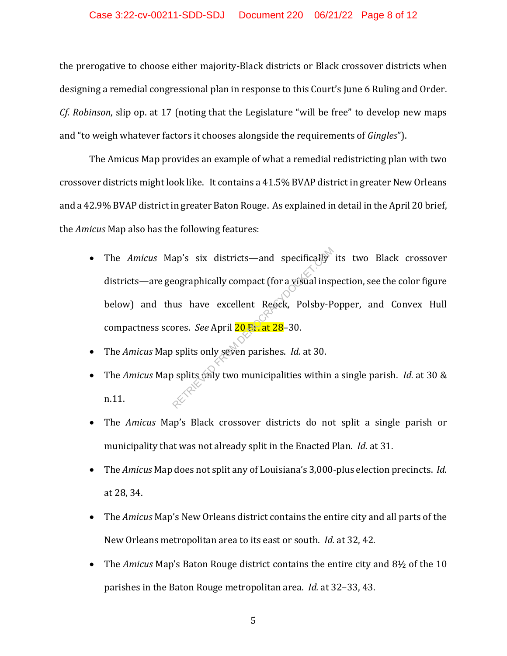#### Case 3:22-cv-00211-SDD-SDJ Document 220 06/21/22 Page 8 of 12

the prerogative to choose either majority-Black districts or Black crossover districts when designing a remedial congressional plan in response to this Court's June 6 Ruling and Order. *Cf. Robinson*, slip op. at 17 (noting that the Legislature "will be free" to develop new maps and "to weigh whatever factors it chooses alongside the requirements of *Gingles*").

The Amicus Map provides an example of what a remedial redistricting plan with two crossover districts might look like. It contains a 41.5% BVAP district in greater New Orleans and a 42.9% BVAP district in greater Baton Rouge. As explained in detail in the April 20 brief, the *Amicus* Map also has the following features:

- The *Amicus* Map's six districts—and specifically its two Black crossover districts—are geographically compact (for a visual inspection, see the color figure below) and thus have excellent Reock, Polsby-Popper, and Convex Hull compactness scores. *See* April 20 Br. at 28–30. ap's six districts—and specifically<br>
eographically compact (for a visual insp<br>
us have excellent Reock, Polsby-P<br>
ores. *See* April 20 Fr. at 28–30.<br>
Splits only seven parishes. *Id.* at 30.<br>
Splits only two municipalitie
- The *Amicus* Map splits only seven parishes. *Id.* at 30.
- The *Amicus* Map splits only two municipalities within a single parish. *Id.* at 30 & n.11.
- The *Amicus* Map's Black crossover districts do not split a single parish or municipality that was not already split in the Enacted Plan. *Id.* at 31.
- The *Amicus* Map does not split any of Louisiana's 3,000-plus election precincts. *Id.* at 28, 34.
- The *Amicus* Map's New Orleans district contains the entire city and all parts of the New Orleans metropolitan area to its east or south. *Id.* at 32, 42.
- The *Amicus* Map's Baton Rouge district contains the entire city and 8½ of the 10 parishes in the Baton Rouge metropolitan area. *Id.* at 32–33, 43.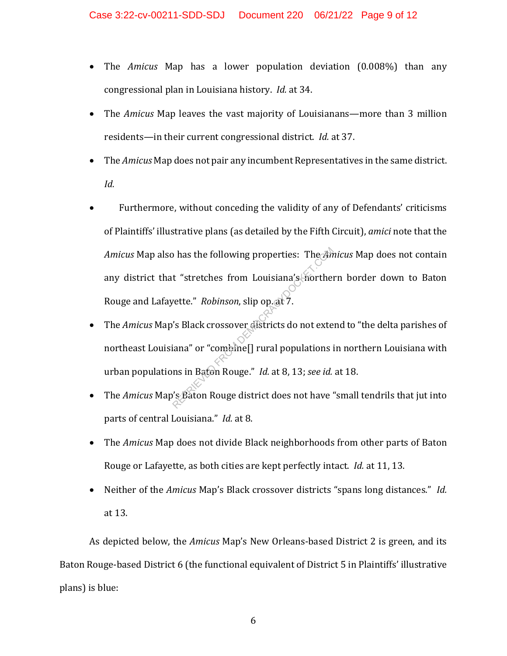- The *Amicus* Map has a lower population deviation (0.008%) than any congressional plan in Louisiana history. *Id.* at 34.
- The *Amicus* Map leaves the vast majority of Louisianans—more than 3 million residents—in their current congressional district. *Id.* at 37.
- The *Amicus* Map does not pair any incumbent Representatives in the same district. *Id.*
- Furthermore, without conceding the validity of any of Defendants' criticisms of Plaintiffs' illustrative plans (as detailed by the Fifth Circuit), *amici* note that the *Amicus* Map also has the following properties: The *Amicus* Map does not contain any district that "stretches from Louisiana's northern border down to Baton Rouge and Lafayette." *Robinson*, slip op. at 7. The Sind of the following properties: The Am<br>
rette." Robinson, slip op. at 7.<br>
Sind of the Sind of the Sind of the Sind of the Sind of the Sind of the Sind of the Sind of the Marino of the Sind of the Sind of the Sind of
- The *Amicus* Map's Black crossover districts do not extend to "the delta parishes of northeast Louisiana" or "combine[] rural populations in northern Louisiana with urban populations in Baton Rouge." *Id.* at 8, 13; *see id.* at 18.
- The *Amicus* Map's Baton Rouge district does not have "small tendrils that jut into parts of central Louisiana." *Id.* at 8.
- The *Amicus* Map does not divide Black neighborhoods from other parts of Baton Rouge or Lafayette, as both cities are kept perfectly intact. *Id.* at 11, 13.
- Neither of the *Amicus* Map's Black crossover districts "spans long distances." *Id.* at 13.

As depicted below, the *Amicus* Map's New Orleans-based District 2 is green, and its Baton Rouge-based District 6 (the functional equivalent of District 5 in Plaintiffs' illustrative plans) is blue: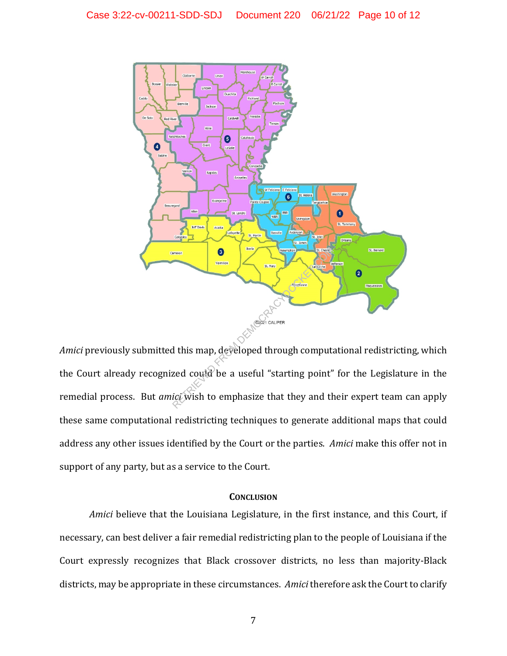

*Amici* previously submitted this map, developed through computational redistricting, which the Court already recognized could be a useful "starting point" for the Legislature in the remedial process. But *amici* wish to emphasize that they and their expert team can apply these same computational redistricting techniques to generate additional maps that could address any other issues identified by the Court or the parties. *Amici* make this offer not in support of any party, but as a service to the Court.

### **CONCLUSION**

*Amici* believe that the Louisiana Legislature, in the first instance, and this Court, if necessary, can best deliver a fair remedial redistricting plan to the people of Louisiana if the Court expressly recognizes that Black crossover districts, no less than majority-Black districts, may be appropriate in these circumstances. *Amici* therefore ask the Court to clarify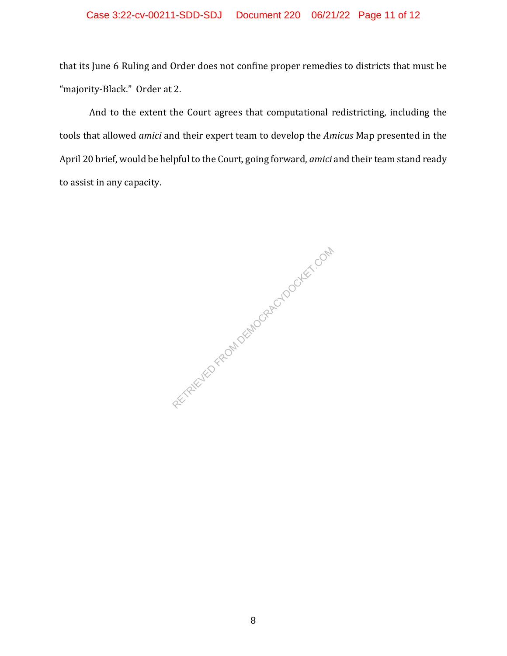# Case 3:22-cv-00211-SDD-SDJ Document 220 06/21/22 Page 11 of 12

that its June 6 Ruling and Order does not confine proper remedies to districts that must be "majority-Black." Order at 2.

And to the extent the Court agrees that computational redistricting, including the tools that allowed *amici* and their expert team to develop the *Amicus* Map presented in the April 20 brief, would be helpful to the Court, going forward, *amici* and their team stand ready to assist in any capacity.

RETRIEVED FROM DEMOCRACYDOCKET.COM